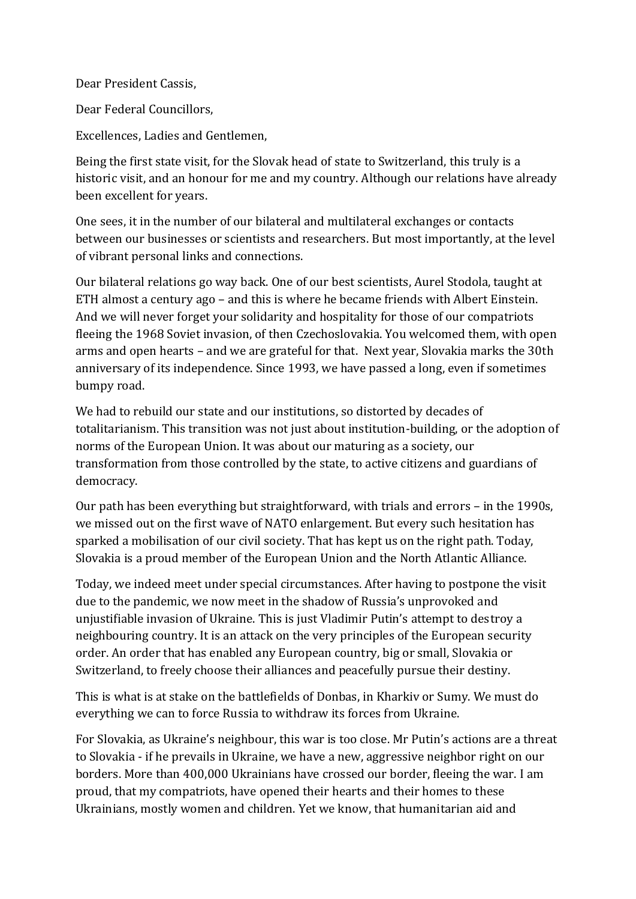Dear President Cassis,

Dear Federal Councillors,

Excellences, Ladies and Gentlemen,

Being the first state visit, for the Slovak head of state to Switzerland, this truly is a historic visit, and an honour for me and my country. Although our relations have already been excellent for years.

One sees, it in the number of our bilateral and multilateral exchanges or contacts between our businesses or scientists and researchers. But most importantly, at the level of vibrant personal links and connections.

Our bilateral relations go way back. One of our best scientists, Aurel Stodola, taught at ETH almost a century ago – and this is where he became friends with Albert Einstein. And we will never forget your solidarity and hospitality for those of our compatriots fleeing the 1968 Soviet invasion, of then Czechoslovakia. You welcomed them, with open arms and open hearts – and we are grateful for that. Next year, Slovakia marks the 30th anniversary of its independence. Since 1993, we have passed a long, even if sometimes bumpy road.

We had to rebuild our state and our institutions, so distorted by decades of totalitarianism. This transition was not just about institution-building, or the adoption of norms of the European Union. It was about our maturing as a society, our transformation from those controlled by the state, to active citizens and guardians of democracy.

Our path has been everything but straightforward, with trials and errors – in the 1990s, we missed out on the first wave of NATO enlargement. But every such hesitation has sparked a mobilisation of our civil society. That has kept us on the right path. Today, Slovakia is a proud member of the European Union and the North Atlantic Alliance.

Today, we indeed meet under special circumstances. After having to postpone the visit due to the pandemic, we now meet in the shadow of Russia's unprovoked and unjustifiable invasion of Ukraine. This is just Vladimir Putin's attempt to destroy a neighbouring country. It is an attack on the very principles of the European security order. An order that has enabled any European country, big or small, Slovakia or Switzerland, to freely choose their alliances and peacefully pursue their destiny.

This is what is at stake on the battlefields of Donbas, in Kharkiv or Sumy. We must do everything we can to force Russia to withdraw its forces from Ukraine.

For Slovakia, as Ukraine's neighbour, this war is too close. Mr Putin's actions are a threat to Slovakia - if he prevails in Ukraine, we have a new, aggressive neighbor right on our borders. More than 400,000 Ukrainians have crossed our border, fleeing the war. I am proud, that my compatriots, have opened their hearts and their homes to these Ukrainians, mostly women and children. Yet we know, that humanitarian aid and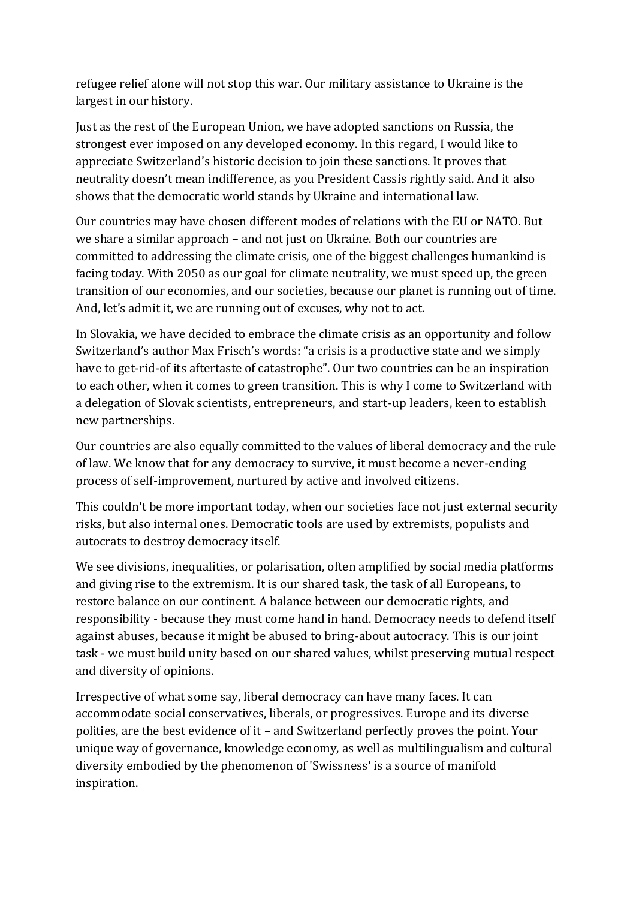refugee relief alone will not stop this war. Our military assistance to Ukraine is the largest in our history.

Just as the rest of the European Union, we have adopted sanctions on Russia, the strongest ever imposed on any developed economy. In this regard, I would like to appreciate Switzerland's historic decision to join these sanctions. It proves that neutrality doesn't mean indifference, as you President Cassis rightly said. And it also shows that the democratic world stands by Ukraine and international law.

Our countries may have chosen different modes of relations with the EU or NATO. But we share a similar approach – and not just on Ukraine. Both our countries are committed to addressing the climate crisis, one of the biggest challenges humankind is facing today. With 2050 as our goal for climate neutrality, we must speed up, the green transition of our economies, and our societies, because our planet is running out of time. And, let's admit it, we are running out of excuses, why not to act.

In Slovakia, we have decided to embrace the climate crisis as an opportunity and follow Switzerland's author Max Frisch's words: "a crisis is a productive state and we simply have to get-rid-of its aftertaste of catastrophe". Our two countries can be an inspiration to each other, when it comes to green transition. This is why I come to Switzerland with a delegation of Slovak scientists, entrepreneurs, and start-up leaders, keen to establish new partnerships.

Our countries are also equally committed to the values of liberal democracy and the rule of law. We know that for any democracy to survive, it must become a never-ending process of self-improvement, nurtured by active and involved citizens.

This couldn't be more important today, when our societies face not just external security risks, but also internal ones. Democratic tools are used by extremists, populists and autocrats to destroy democracy itself.

We see divisions, inequalities, or polarisation, often amplified by social media platforms and giving rise to the extremism. It is our shared task, the task of all Europeans, to restore balance on our continent. A balance between our democratic rights, and responsibility - because they must come hand in hand. Democracy needs to defend itself against abuses, because it might be abused to bring-about autocracy. This is our joint task - we must build unity based on our shared values, whilst preserving mutual respect and diversity of opinions.

Irrespective of what some say, liberal democracy can have many faces. It can accommodate social conservatives, liberals, or progressives. Europe and its diverse polities, are the best evidence of it – and Switzerland perfectly proves the point. Your unique way of governance, knowledge economy, as well as multilingualism and cultural diversity embodied by the phenomenon of 'Swissness' is a source of manifold inspiration.